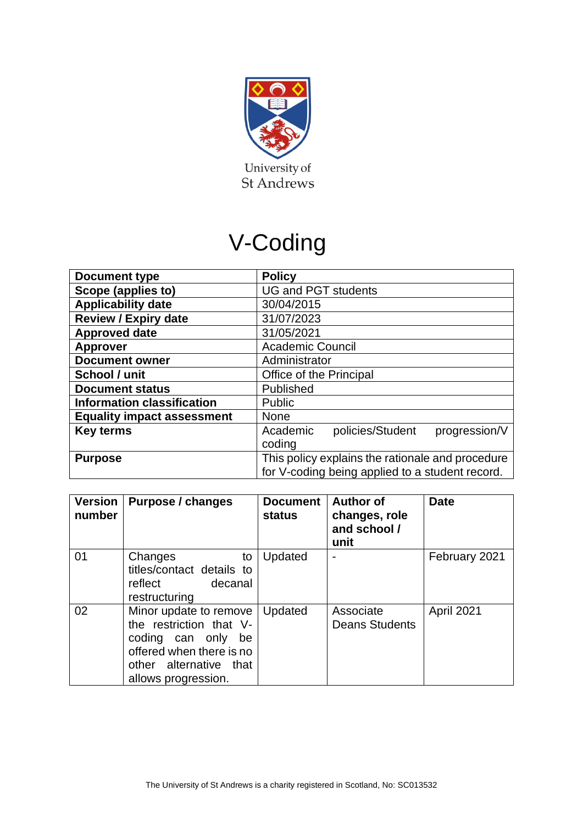

# V-Coding

| Document type                     | <b>Policy</b>                                    |  |  |  |
|-----------------------------------|--------------------------------------------------|--|--|--|
| Scope (applies to)                | <b>UG and PGT students</b>                       |  |  |  |
| <b>Applicability date</b>         | 30/04/2015                                       |  |  |  |
| <b>Review / Expiry date</b>       | 31/07/2023                                       |  |  |  |
| <b>Approved date</b>              | 31/05/2021                                       |  |  |  |
| <b>Approver</b>                   | <b>Academic Council</b>                          |  |  |  |
| <b>Document owner</b>             | Administrator                                    |  |  |  |
| School / unit                     | Office of the Principal                          |  |  |  |
| <b>Document status</b>            | Published                                        |  |  |  |
| <b>Information classification</b> | <b>Public</b>                                    |  |  |  |
| <b>Equality impact assessment</b> | <b>None</b>                                      |  |  |  |
| <b>Key terms</b>                  | policies/Student<br>progression/V<br>Academic    |  |  |  |
|                                   | coding                                           |  |  |  |
| <b>Purpose</b>                    | This policy explains the rationale and procedure |  |  |  |
|                                   | for V-coding being applied to a student record.  |  |  |  |

| <b>Version</b><br>number | Purpose / changes                                                                                                                                       | <b>Document</b><br>status | <b>Author of</b><br>changes, role<br>and school /<br>unit | <b>Date</b>   |
|--------------------------|---------------------------------------------------------------------------------------------------------------------------------------------------------|---------------------------|-----------------------------------------------------------|---------------|
| 01                       | Changes<br>to<br>titles/contact details to<br>reflect<br>decanal<br>restructuring                                                                       | Updated                   | $\overline{\phantom{0}}$                                  | February 2021 |
| 02                       | Minor update to remove<br>the restriction that V-<br>coding can only<br>be<br>offered when there is no<br>other alternative that<br>allows progression. | Updated                   | Associate<br><b>Deans Students</b>                        | April 2021    |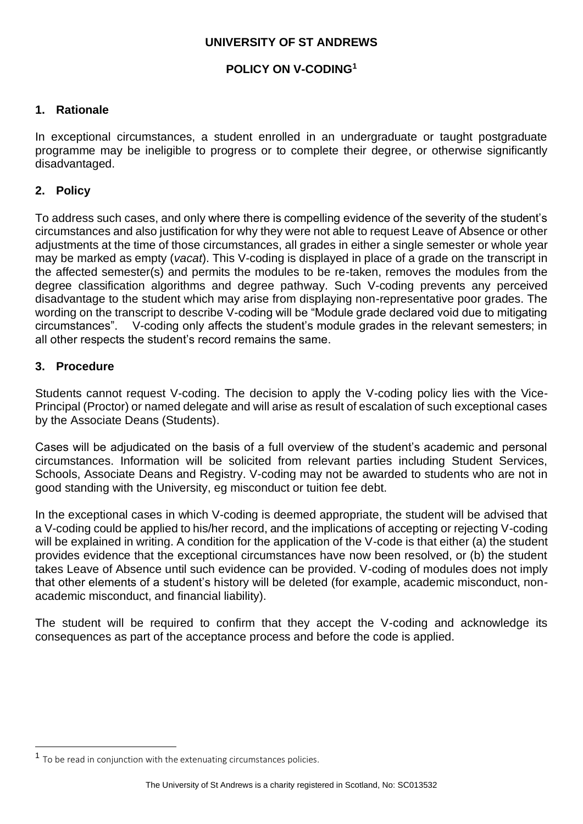### **UNIVERSITY OF ST ANDREWS**

## **POLICY ON V-CODING<sup>1</sup>**

#### **1. Rationale**

In exceptional circumstances, a student enrolled in an undergraduate or taught postgraduate programme may be ineligible to progress or to complete their degree, or otherwise significantly disadvantaged.

#### **2. Policy**

To address such cases, and only where there is compelling evidence of the severity of the student's circumstances and also justification for why they were not able to request Leave of Absence or other adjustments at the time of those circumstances, all grades in either a single semester or whole year may be marked as empty (*vacat*). This V-coding is displayed in place of a grade on the transcript in the affected semester(s) and permits the modules to be re-taken, removes the modules from the degree classification algorithms and degree pathway. Such V-coding prevents any perceived disadvantage to the student which may arise from displaying non-representative poor grades. The wording on the transcript to describe V-coding will be "Module grade declared void due to mitigating circumstances". V-coding only affects the student's module grades in the relevant semesters; in all other respects the student's record remains the same.

#### **3. Procedure**

Students cannot request V-coding. The decision to apply the V-coding policy lies with the Vice-Principal (Proctor) or named delegate and will arise as result of escalation of such exceptional cases by the Associate Deans (Students).

Cases will be adjudicated on the basis of a full overview of the student's academic and personal circumstances. Information will be solicited from relevant parties including Student Services, Schools, Associate Deans and Registry. V-coding may not be awarded to students who are not in good standing with the University, eg misconduct or tuition fee debt.

In the exceptional cases in which V-coding is deemed appropriate, the student will be advised that a V-coding could be applied to his/her record, and the implications of accepting or rejecting V-coding will be explained in writing. A condition for the application of the V-code is that either (a) the student provides evidence that the exceptional circumstances have now been resolved, or (b) the student takes Leave of Absence until such evidence can be provided. V-coding of modules does not imply that other elements of a student's history will be deleted (for example, academic misconduct, nonacademic misconduct, and financial liability).

The student will be required to confirm that they accept the V-coding and acknowledge its consequences as part of the acceptance process and before the code is applied.

<sup>&</sup>lt;sup>1</sup> To be read in conjunction with the extenuating circumstances policies.